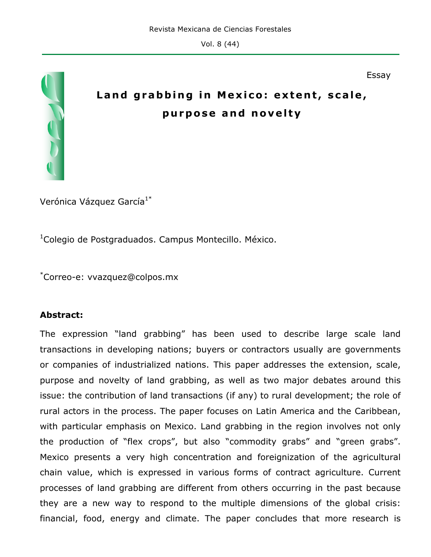

# **Land grabbing in Mexico: extent, scale, purpose and novelty**

Essay

Verónica Vázquez García<sup>1\*</sup>

<sup>1</sup>Colegio de Postgraduados. Campus Montecillo. México.

\* Correo-e: vvazquez@colpos.mx

#### **Abstract:**

The expression "land grabbing" has been used to describe large scale land transactions in developing nations; buyers or contractors usually are governments or companies of industrialized nations. This paper addresses the extension, scale, purpose and novelty of land grabbing, as well as two major debates around this issue: the contribution of land transactions (if any) to rural development; the role of rural actors in the process. The paper focuses on Latin America and the Caribbean, with particular emphasis on Mexico. Land grabbing in the region involves not only the production of "flex crops", but also "commodity grabs" and "green grabs". Mexico presents a very high concentration and foreignization of the agricultural chain value, which is expressed in various forms of contract agriculture. Current processes of land grabbing are different from others occurring in the past because they are a new way to respond to the multiple dimensions of the global crisis: financial, food, energy and climate. The paper concludes that more research is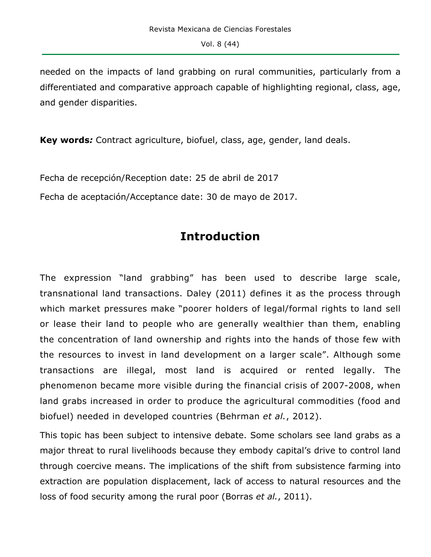needed on the impacts of land grabbing on rural communities, particularly from a differentiated and comparative approach capable of highlighting regional, class, age, and gender disparities.

**Key words***:* Contract agriculture, biofuel, class, age, gender, land deals.

Fecha de recepción/Reception date: 25 de abril de 2017

Fecha de aceptación/Acceptance date: 30 de mayo de 2017.

# **Introduction**

The expression "land grabbing" has been used to describe large scale, transnational land transactions. Daley (2011) defines it as the process through which market pressures make "poorer holders of legal/formal rights to land sell or lease their land to people who are generally wealthier than them, enabling the concentration of land ownership and rights into the hands of those few with the resources to invest in land development on a larger scale". Although some transactions are illegal, most land is acquired or rented legally. The phenomenon became more visible during the financial crisis of 2007-2008, when land grabs increased in order to produce the agricultural commodities (food and biofuel) needed in developed countries (Behrman *et al.*, 2012).

This topic has been subject to intensive debate. Some scholars see land grabs as a major threat to rural livelihoods because they embody capital's drive to control land through coercive means. The implications of the shift from subsistence farming into extraction are population displacement, lack of access to natural resources and the loss of food security among the rural poor (Borras *et al.*, 2011).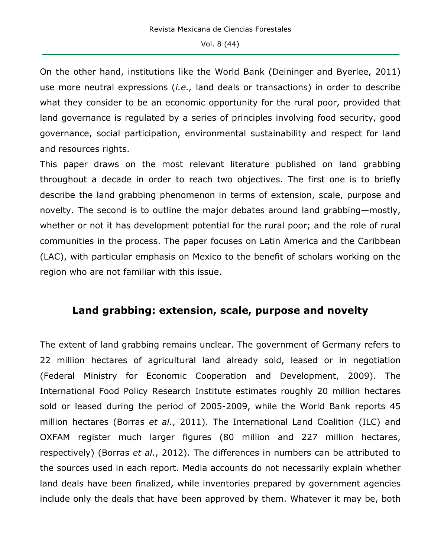On the other hand, institutions like the World Bank (Deininger and Byerlee, 2011) use more neutral expressions (*i.e.,* land deals or transactions) in order to describe what they consider to be an economic opportunity for the rural poor, provided that land governance is regulated by a series of principles involving food security, good governance, social participation, environmental sustainability and respect for land and resources rights.

This paper draws on the most relevant literature published on land grabbing throughout a decade in order to reach two objectives. The first one is to briefly describe the land grabbing phenomenon in terms of extension, scale, purpose and novelty. The second is to outline the major debates around land grabbing—mostly, whether or not it has development potential for the rural poor; and the role of rural communities in the process. The paper focuses on Latin America and the Caribbean (LAC), with particular emphasis on Mexico to the benefit of scholars working on the region who are not familiar with this issue.

### **Land grabbing: extension, scale, purpose and novelty**

The extent of land grabbing remains unclear. The government of Germany refers to 22 million hectares of agricultural land already sold, leased or in negotiation (Federal Ministry for Economic Cooperation and Development, 2009). The International Food Policy Research Institute estimates roughly 20 million hectares sold or leased during the period of 2005-2009, while the World Bank reports 45 million hectares (Borras *et al.*, 2011). The International Land Coalition (ILC) and OXFAM register much larger figures (80 million and 227 million hectares, respectively) (Borras *et al.*, 2012). The differences in numbers can be attributed to the sources used in each report. Media accounts do not necessarily explain whether land deals have been finalized, while inventories prepared by government agencies include only the deals that have been approved by them. Whatever it may be, both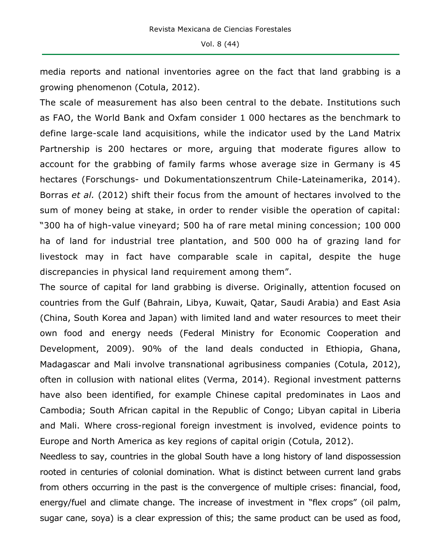media reports and national inventories agree on the fact that land grabbing is a growing phenomenon (Cotula, 2012).

The scale of measurement has also been central to the debate. Institutions such as FAO, the World Bank and Oxfam consider 1 000 hectares as the benchmark to define large-scale land acquisitions, while the indicator used by the Land Matrix Partnership is 200 hectares or more, arguing that moderate figures allow to account for the grabbing of family farms whose average size in Germany is 45 hectares (Forschungs- und Dokumentationszentrum Chile-Lateinamerika, 2014). Borras *et al.* (2012) shift their focus from the amount of hectares involved to the sum of money being at stake, in order to render visible the operation of capital: "300 ha of high-value vineyard; 500 ha of rare metal mining concession; 100 000 ha of land for industrial tree plantation, and 500 000 ha of grazing land for livestock may in fact have comparable scale in capital, despite the huge discrepancies in physical land requirement among them".

The source of capital for land grabbing is diverse. Originally, attention focused on countries from the Gulf (Bahrain, Libya, Kuwait, Qatar, Saudi Arabia) and East Asia (China, South Korea and Japan) with limited land and water resources to meet their own food and energy needs (Federal Ministry for Economic Cooperation and Development, 2009). 90% of the land deals conducted in Ethiopia, Ghana, Madagascar and Mali involve transnational agribusiness companies (Cotula, 2012), often in collusion with national elites (Verma, 2014). Regional investment patterns have also been identified, for example Chinese capital predominates in Laos and Cambodia; South African capital in the Republic of Congo; Libyan capital in Liberia and Mali. Where cross-regional foreign investment is involved, evidence points to Europe and North America as key regions of capital origin (Cotula, 2012).

Needless to say, countries in the global South have a long history of land dispossession rooted in centuries of colonial domination. What is distinct between current land grabs from others occurring in the past is the convergence of multiple crises: financial, food, energy/fuel and climate change. The increase of investment in "flex crops" (oil palm, sugar cane, soya) is a clear expression of this; the same product can be used as food,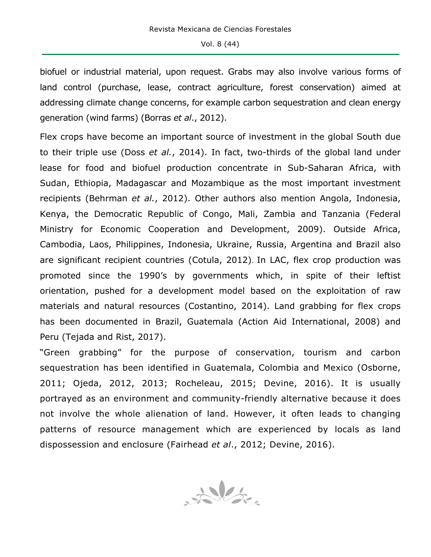biofuel or industrial material, upon request. Grabs may also involve various forms of land control (purchase, lease, contract agriculture, forest conservation) aimed at addressing climate change concerns, for example carbon sequestration and clean energy generation (wind farms) (Borras *et al*., 2012).

Flex crops have become an important source of investment in the global South due to their triple use (Doss *et al.*, 2014). In fact, two-thirds of the global land under lease for food and biofuel production concentrate in Sub-Saharan Africa, with Sudan, Ethiopia, Madagascar and Mozambique as the most important investment recipients (Behrman *et al.*, 2012). Other authors also mention Angola, Indonesia, Kenya, the Democratic Republic of Congo, Mali, Zambia and Tanzania (Federal Ministry for Economic Cooperation and Development, 2009). Outside Africa, Cambodia, Laos, Philippines, Indonesia, Ukraine, Russia, Argentina and Brazil also are significant recipient countries (Cotula, 2012). In LAC, flex crop production was promoted since the 1990's by governments which, in spite of their leftist orientation, pushed for a development model based on the exploitation of raw materials and natural resources (Costantino, 2014). Land grabbing for flex crops has been documented in Brazil, Guatemala (Action Aid International, 2008) and Peru (Tejada and Rist, 2017).

"Green grabbing" for the purpose of conservation, tourism and carbon sequestration has been identified in Guatemala, Colombia and Mexico (Osborne, 2011; Ojeda, 2012, 2013; Rocheleau, 2015; Devine, 2016). It is usually portrayed as an environment and community-friendly alternative because it does not involve the whole alienation of land. However, it often leads to changing patterns of resource management which are experienced by locals as land dispossession and enclosure (Fairhead *et al*., 2012; Devine, 2016).

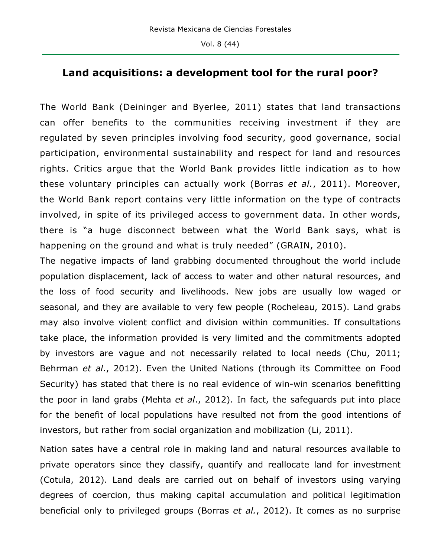### **Land acquisitions: a development tool for the rural poor?**

The World Bank (Deininger and Byerlee, 2011) states that land transactions can offer benefits to the communities receiving investment if they are regulated by seven principles involving food security, good governance, social participation, environmental sustainability and respect for land and resources rights. Critics argue that the World Bank provides little indication as to how these voluntary principles can actually work (Borras *et al.*, 2011). Moreover, the World Bank report contains very little information on the type of contracts involved, in spite of its privileged access to government data. In other words, there is "a huge disconnect between what the World Bank says, what is happening on the ground and what is truly needed" (GRAIN, 2010).

The negative impacts of land grabbing documented throughout the world include population displacement, lack of access to water and other natural resources, and the loss of food security and livelihoods. New jobs are usually low waged or seasonal, and they are available to very few people (Rocheleau, 2015). Land grabs may also involve violent conflict and division within communities. If consultations take place, the information provided is very limited and the commitments adopted by investors are vague and not necessarily related to local needs (Chu, 2011; Behrman *et al*., 2012). Even the United Nations (through its Committee on Food Security) has stated that there is no real evidence of win-win scenarios benefitting the poor in land grabs (Mehta *et al*., 2012). In fact, the safeguards put into place for the benefit of local populations have resulted not from the good intentions of investors, but rather from social organization and mobilization (Li, 2011).

Nation sates have a central role in making land and natural resources available to private operators since they classify, quantify and reallocate land for investment (Cotula, 2012). Land deals are carried out on behalf of investors using varying degrees of coercion, thus making capital accumulation and political legitimation beneficial only to privileged groups (Borras *et al.*, 2012). It comes as no surprise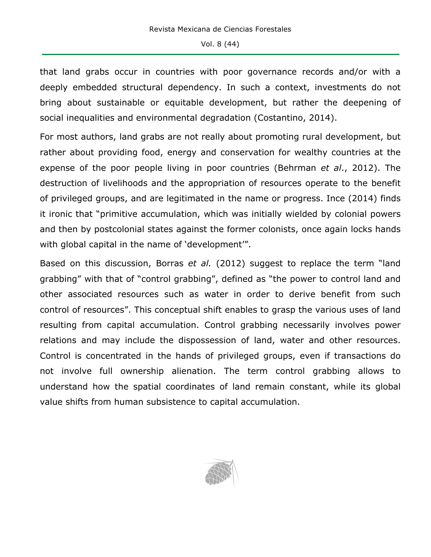that land grabs occur in countries with poor governance records and/or with a deeply embedded structural dependency. In such a context, investments do not bring about sustainable or equitable development, but rather the deepening of social inequalities and environmental degradation (Costantino, 2014).

For most authors, land grabs are not really about promoting rural development, but rather about providing food, energy and conservation for wealthy countries at the expense of the poor people living in poor countries (Behrman *et al*., 2012). The destruction of livelihoods and the appropriation of resources operate to the benefit of privileged groups, and are legitimated in the name or progress. Ince (2014) finds it ironic that "primitive accumulation, which was initially wielded by colonial powers and then by postcolonial states against the former colonists, once again locks hands with global capital in the name of 'development'".

Based on this discussion, Borras *et al.* (2012) suggest to replace the term "land grabbing" with that of "control grabbing", defined as "the power to control land and other associated resources such as water in order to derive benefit from such control of resources". This conceptual shift enables to grasp the various uses of land resulting from capital accumulation. Control grabbing necessarily involves power relations and may include the dispossession of land, water and other resources. Control is concentrated in the hands of privileged groups, even if transactions do not involve full ownership alienation. The term control grabbing allows to understand how the spatial coordinates of land remain constant, while its global value shifts from human subsistence to capital accumulation.

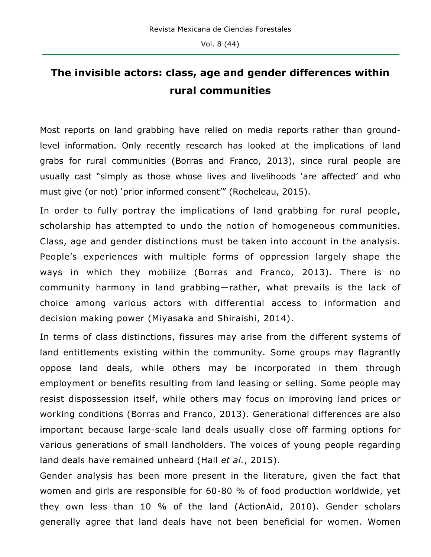# **The invisible actors: class, age and gender differences within rural communities**

Most reports on land grabbing have relied on media reports rather than groundlevel information. Only recently research has looked at the implications of land grabs for rural communities (Borras and Franco, 2013), since rural people are usually cast "simply as those whose lives and livelihoods 'are affected' and who must give (or not) 'prior informed consent'" (Rocheleau, 2015).

In order to fully portray the implications of land grabbing for rural people, scholarship has attempted to undo the notion of homogeneous communities. Class, age and gender distinctions must be taken into account in the analysis. People's experiences with multiple forms of oppression largely shape the ways in which they mobilize (Borras and Franco, 2013). There is no community harmony in land grabbing—rather, what prevails is the lack of choice among various actors with differential access to information and decision making power (Miyasaka and Shiraishi, 2014).

In terms of class distinctions, fissures may arise from the different systems of land entitlements existing within the community. Some groups may flagrantly oppose land deals, while others may be incorporated in them through employment or benefits resulting from land leasing or selling. Some people may resist dispossession itself, while others may focus on improving land prices or working conditions (Borras and Franco, 2013). Generational differences are also important because large-scale land deals usually close off farming options for various generations of small landholders. The voices of young people regarding land deals have remained unheard (Hall *et al.*, 2015).

Gender analysis has been more present in the literature, given the fact that women and girls are responsible for 60-80 % of food production worldwide, yet they own less than 10 % of the land (ActionAid, 2010). Gender scholars generally agree that land deals have not been beneficial for women. Women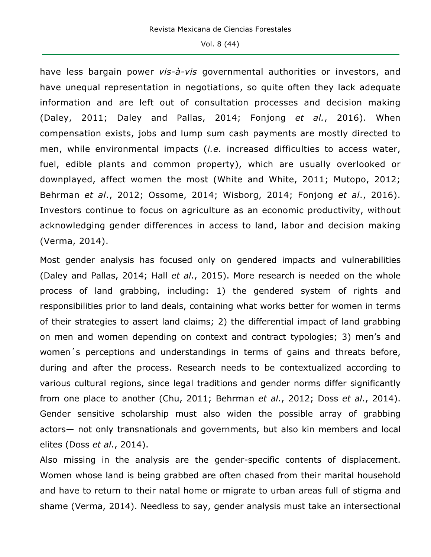have less bargain power *vis-à-vis* governmental authorities or investors, and have unequal representation in negotiations, so quite often they lack adequate information and are left out of consultation processes and decision making (Daley, 2011; Daley and Pallas, 2014; Fonjong *et al.*, 2016). When compensation exists, jobs and lump sum cash payments are mostly directed to men, while environmental impacts (*i.e.* increased difficulties to access water, fuel, edible plants and common property), which are usually overlooked or downplayed, affect women the most (White and White, 2011; Mutopo, 2012; Behrman *et al*., 2012; Ossome, 2014; Wisborg, 2014; Fonjong *et al*., 2016). Investors continue to focus on agriculture as an economic productivity, without acknowledging gender differences in access to land, labor and decision making (Verma, 2014).

Most gender analysis has focused only on gendered impacts and vulnerabilities (Daley and Pallas, 2014; Hall *et al*., 2015). More research is needed on the whole process of land grabbing, including: 1) the gendered system of rights and responsibilities prior to land deals, containing what works better for women in terms of their strategies to assert land claims; 2) the differential impact of land grabbing on men and women depending on context and contract typologies; 3) men's and women´s perceptions and understandings in terms of gains and threats before, during and after the process. Research needs to be contextualized according to various cultural regions, since legal traditions and gender norms differ significantly from one place to another (Chu, 2011; Behrman *et al*., 2012; Doss *et al*., 2014). Gender sensitive scholarship must also widen the possible array of grabbing actors— not only transnationals and governments, but also kin members and local elites (Doss *et al*., 2014).

Also missing in the analysis are the gender-specific contents of displacement. Women whose land is being grabbed are often chased from their marital household and have to return to their natal home or migrate to urban areas full of stigma and shame (Verma, 2014). Needless to say, gender analysis must take an intersectional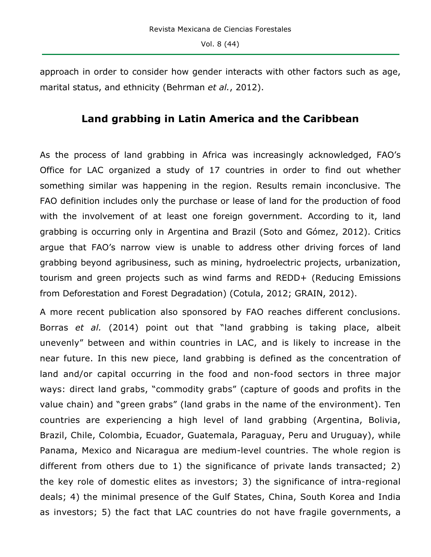approach in order to consider how gender interacts with other factors such as age, marital status, and ethnicity (Behrman *et al.*, 2012).

### **Land grabbing in Latin America and the Caribbean**

As the process of land grabbing in Africa was increasingly acknowledged, FAO's Office for LAC organized a study of 17 countries in order to find out whether something similar was happening in the region. Results remain inconclusive. The FAO definition includes only the purchase or lease of land for the production of food with the involvement of at least one foreign government. According to it, land grabbing is occurring only in Argentina and Brazil (Soto and Gómez, 2012). Critics argue that FAO's narrow view is unable to address other driving forces of land grabbing beyond agribusiness, such as mining, hydroelectric projects, urbanization, tourism and green projects such as wind farms and REDD+ (Reducing Emissions from Deforestation and Forest Degradation) (Cotula, 2012; GRAIN, 2012).

A more recent publication also sponsored by FAO reaches different conclusions. Borras *et al.* (2014) point out that "land grabbing is taking place, albeit unevenly" between and within countries in LAC, and is likely to increase in the near future. In this new piece, land grabbing is defined as the concentration of land and/or capital occurring in the food and non-food sectors in three major ways: direct land grabs, "commodity grabs" (capture of goods and profits in the value chain) and "green grabs" (land grabs in the name of the environment). Ten countries are experiencing a high level of land grabbing (Argentina, Bolivia, Brazil, Chile, Colombia, Ecuador, Guatemala, Paraguay, Peru and Uruguay), while Panama, Mexico and Nicaragua are medium-level countries. The whole region is different from others due to 1) the significance of private lands transacted; 2) the key role of domestic elites as investors; 3) the significance of intra-regional deals; 4) the minimal presence of the Gulf States, China, South Korea and India as investors; 5) the fact that LAC countries do not have fragile governments, a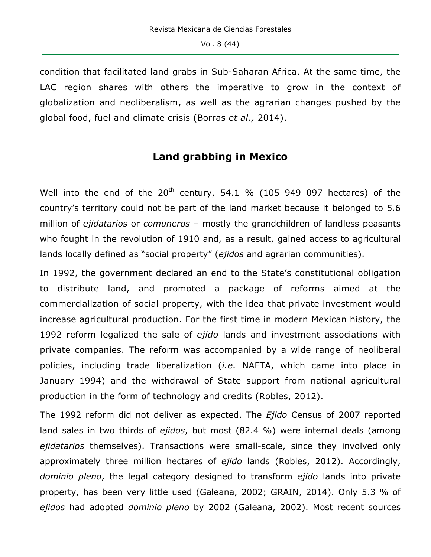condition that facilitated land grabs in Sub-Saharan Africa. At the same time, the LAC region shares with others the imperative to grow in the context of globalization and neoliberalism, as well as the agrarian changes pushed by the global food, fuel and climate crisis (Borras *et al.,* 2014).

### **Land grabbing in Mexico**

Well into the end of the  $20<sup>th</sup>$  century, 54.1 % (105 949 097 hectares) of the country's territory could not be part of the land market because it belonged to 5.6 million of *ejidatarios* or *comuneros* – mostly the grandchildren of landless peasants who fought in the revolution of 1910 and, as a result, gained access to agricultural lands locally defined as "social property" (*ejidos* and agrarian communities).

In 1992, the government declared an end to the State's constitutional obligation to distribute land, and promoted a package of reforms aimed at the commercialization of social property, with the idea that private investment would increase agricultural production. For the first time in modern Mexican history, the 1992 reform legalized the sale of *ejido* lands and investment associations with private companies. The reform was accompanied by a wide range of neoliberal policies, including trade liberalization (*i.e.* NAFTA, which came into place in January 1994) and the withdrawal of State support from national agricultural production in the form of technology and credits (Robles, 2012).

The 1992 reform did not deliver as expected. The *Ejido* Census of 2007 reported land sales in two thirds of *ejidos*, but most (82.4 %) were internal deals (among *ejidatarios* themselves). Transactions were small-scale, since they involved only approximately three million hectares of *ejido* lands (Robles, 2012). Accordingly, *dominio pleno*, the legal category designed to transform *ejido* lands into private property, has been very little used (Galeana, 2002; GRAIN, 2014). Only 5.3 % of *ejidos* had adopted *dominio pleno* by 2002 (Galeana, 2002). Most recent sources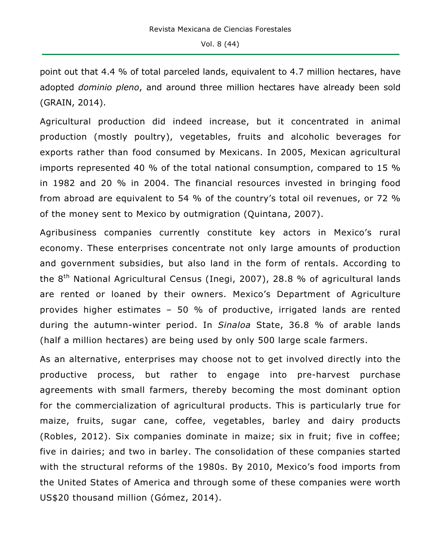point out that 4.4 % of total parceled lands, equivalent to 4.7 million hectares, have adopted *dominio pleno*, and around three million hectares have already been sold (GRAIN, 2014).

Agricultural production did indeed increase, but it concentrated in animal production (mostly poultry), vegetables, fruits and alcoholic beverages for exports rather than food consumed by Mexicans. In 2005, Mexican agricultural imports represented 40 % of the total national consumption, compared to 15 % in 1982 and 20 % in 2004. The financial resources invested in bringing food from abroad are equivalent to 54 % of the country's total oil revenues, or 72 % of the money sent to Mexico by outmigration (Quintana, 2007).

Agribusiness companies currently constitute key actors in Mexico's rural economy. These enterprises concentrate not only large amounts of production and government subsidies, but also land in the form of rentals. According to the 8<sup>th</sup> National Agricultural Census (Inegi, 2007), 28.8 % of agricultural lands are rented or loaned by their owners. Mexico's Department of Agriculture provides higher estimates – 50 % of productive, irrigated lands are rented during the autumn-winter period. In *Sinaloa* State, 36.8 % of arable lands (half a million hectares) are being used by only 500 large scale farmers.

As an alternative, enterprises may choose not to get involved directly into the productive process, but rather to engage into pre-harvest purchase agreements with small farmers, thereby becoming the most dominant option for the commercialization of agricultural products. This is particularly true for maize, fruits, sugar cane, coffee, vegetables, barley and dairy products (Robles, 2012). Six companies dominate in maize; six in fruit; five in coffee; five in dairies; and two in barley. The consolidation of these companies started with the structural reforms of the 1980s. By 2010, Mexico's food imports from the United States of America and through some of these companies were worth US\$20 thousand million (Gómez, 2014).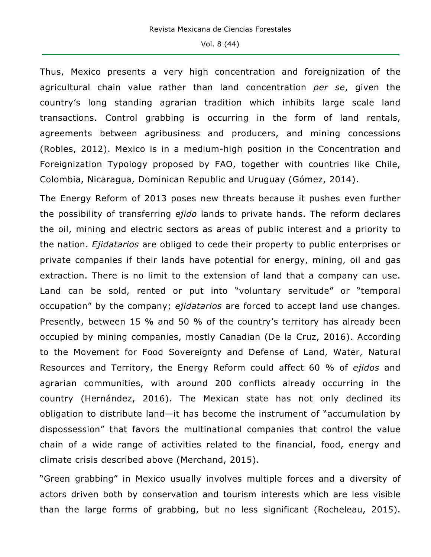Thus, Mexico presents a very high concentration and foreignization of the agricultural chain value rather than land concentration *per se*, given the country's long standing agrarian tradition which inhibits large scale land transactions. Control grabbing is occurring in the form of land rentals, agreements between agribusiness and producers, and mining concessions (Robles, 2012). Mexico is in a medium-high position in the Concentration and Foreignization Typology proposed by FAO, together with countries like Chile, Colombia, Nicaragua, Dominican Republic and Uruguay (Gómez, 2014).

The Energy Reform of 2013 poses new threats because it pushes even further the possibility of transferring *ejido* lands to private hands. The reform declares the oil, mining and electric sectors as areas of public interest and a priority to the nation. *Ejidatarios* are obliged to cede their property to public enterprises or private companies if their lands have potential for energy, mining, oil and gas extraction. There is no limit to the extension of land that a company can use. Land can be sold, rented or put into "voluntary servitude" or "temporal occupation" by the company; *ejidatarios* are forced to accept land use changes. Presently, between 15 % and 50 % of the country's territory has already been occupied by mining companies, mostly Canadian (De la Cruz, 2016). According to the Movement for Food Sovereignty and Defense of Land, Water, Natural Resources and Territory, the Energy Reform could affect 60 % of *ejidos* and agrarian communities, with around 200 conflicts already occurring in the country (Hernández, 2016). The Mexican state has not only declined its obligation to distribute land—it has become the instrument of "accumulation by dispossession" that favors the multinational companies that control the value chain of a wide range of activities related to the financial, food, energy and climate crisis described above (Merchand, 2015).

"Green grabbing" in Mexico usually involves multiple forces and a diversity of actors driven both by conservation and tourism interests which are less visible than the large forms of grabbing, but no less significant (Rocheleau, 2015).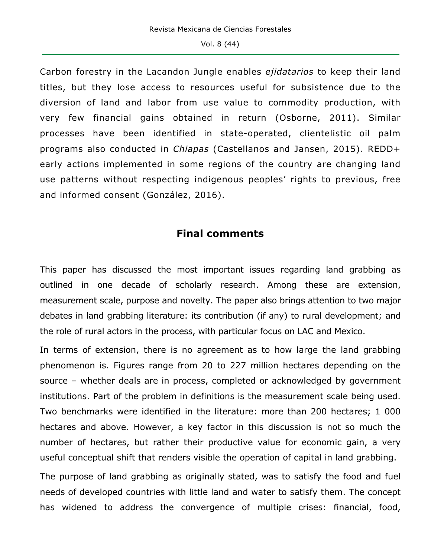Carbon forestry in the Lacandon Jungle enables *ejidatarios* to keep their land titles, but they lose access to resources useful for subsistence due to the diversion of land and labor from use value to commodity production, with very few financial gains obtained in return (Osborne, 2011). Similar processes have been identified in state-operated, clientelistic oil palm programs also conducted in *Chiapas* (Castellanos and Jansen, 2015). REDD+ early actions implemented in some regions of the country are changing land use patterns without respecting indigenous peoples' rights to previous, free and informed consent (González, 2016).

### **Final comments**

This paper has discussed the most important issues regarding land grabbing as outlined in one decade of scholarly research. Among these are extension, measurement scale, purpose and novelty. The paper also brings attention to two major debates in land grabbing literature: its contribution (if any) to rural development; and the role of rural actors in the process, with particular focus on LAC and Mexico.

In terms of extension, there is no agreement as to how large the land grabbing phenomenon is. Figures range from 20 to 227 million hectares depending on the source – whether deals are in process, completed or acknowledged by government institutions. Part of the problem in definitions is the measurement scale being used. Two benchmarks were identified in the literature: more than 200 hectares; 1 000 hectares and above. However, a key factor in this discussion is not so much the number of hectares, but rather their productive value for economic gain, a very useful conceptual shift that renders visible the operation of capital in land grabbing.

The purpose of land grabbing as originally stated, was to satisfy the food and fuel needs of developed countries with little land and water to satisfy them. The concept has widened to address the convergence of multiple crises: financial, food,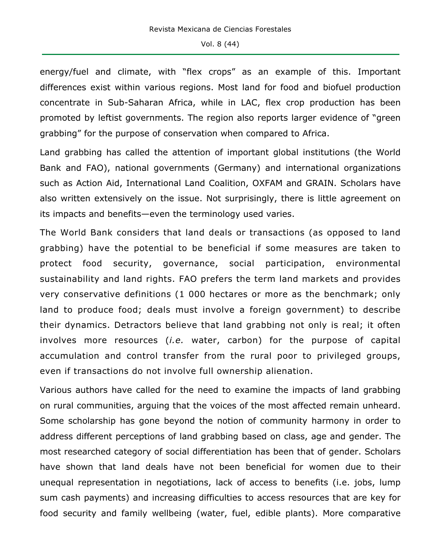energy/fuel and climate, with "flex crops" as an example of this. Important differences exist within various regions. Most land for food and biofuel production concentrate in Sub-Saharan Africa, while in LAC, flex crop production has been promoted by leftist governments. The region also reports larger evidence of "green grabbing" for the purpose of conservation when compared to Africa.

Land grabbing has called the attention of important global institutions (the World Bank and FAO), national governments (Germany) and international organizations such as Action Aid, International Land Coalition, OXFAM and GRAIN. Scholars have also written extensively on the issue. Not surprisingly, there is little agreement on its impacts and benefits—even the terminology used varies.

The World Bank considers that land deals or transactions (as opposed to land grabbing) have the potential to be beneficial if some measures are taken to protect food security, governance, social participation, environmental sustainability and land rights. FAO prefers the term land markets and provides very conservative definitions (1 000 hectares or more as the benchmark; only land to produce food; deals must involve a foreign government) to describe their dynamics. Detractors believe that land grabbing not only is real; it often involves more resources (*i.e.* water, carbon) for the purpose of capital accumulation and control transfer from the rural poor to privileged groups, even if transactions do not involve full ownership alienation.

Various authors have called for the need to examine the impacts of land grabbing on rural communities, arguing that the voices of the most affected remain unheard. Some scholarship has gone beyond the notion of community harmony in order to address different perceptions of land grabbing based on class, age and gender. The most researched category of social differentiation has been that of gender. Scholars have shown that land deals have not been beneficial for women due to their unequal representation in negotiations, lack of access to benefits (i.e. jobs, lump sum cash payments) and increasing difficulties to access resources that are key for food security and family wellbeing (water, fuel, edible plants). More comparative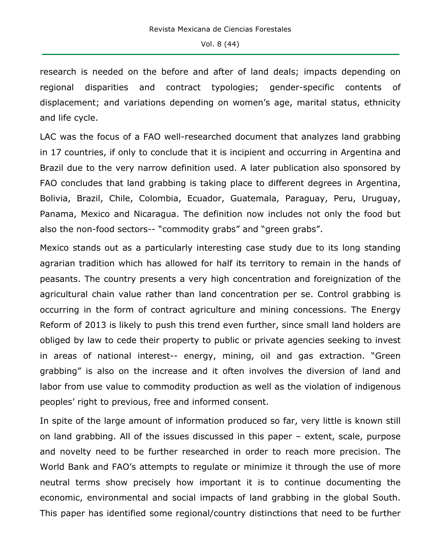research is needed on the before and after of land deals; impacts depending on regional disparities and contract typologies; gender-specific contents of displacement; and variations depending on women's age, marital status, ethnicity and life cycle.

LAC was the focus of a FAO well-researched document that analyzes land grabbing in 17 countries, if only to conclude that it is incipient and occurring in Argentina and Brazil due to the very narrow definition used. A later publication also sponsored by FAO concludes that land grabbing is taking place to different degrees in Argentina, Bolivia, Brazil, Chile, Colombia, Ecuador, Guatemala, Paraguay, Peru, Uruguay, Panama, Mexico and Nicaragua. The definition now includes not only the food but also the non-food sectors-- "commodity grabs" and "green grabs".

Mexico stands out as a particularly interesting case study due to its long standing agrarian tradition which has allowed for half its territory to remain in the hands of peasants. The country presents a very high concentration and foreignization of the agricultural chain value rather than land concentration per se. Control grabbing is occurring in the form of contract agriculture and mining concessions. The Energy Reform of 2013 is likely to push this trend even further, since small land holders are obliged by law to cede their property to public or private agencies seeking to invest in areas of national interest-- energy, mining, oil and gas extraction. "Green grabbing" is also on the increase and it often involves the diversion of land and labor from use value to commodity production as well as the violation of indigenous peoples' right to previous, free and informed consent.

In spite of the large amount of information produced so far, very little is known still on land grabbing. All of the issues discussed in this paper – extent, scale, purpose and novelty need to be further researched in order to reach more precision. The World Bank and FAO's attempts to regulate or minimize it through the use of more neutral terms show precisely how important it is to continue documenting the economic, environmental and social impacts of land grabbing in the global South. This paper has identified some regional/country distinctions that need to be further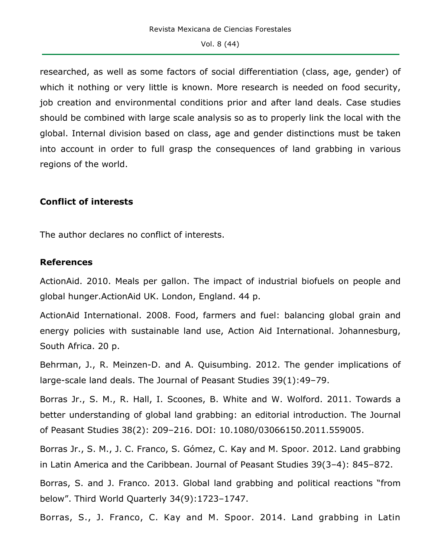researched, as well as some factors of social differentiation (class, age, gender) of which it nothing or very little is known. More research is needed on food security, job creation and environmental conditions prior and after land deals. Case studies should be combined with large scale analysis so as to properly link the local with the global. Internal division based on class, age and gender distinctions must be taken into account in order to full grasp the consequences of land grabbing in various regions of the world.

#### **Conflict of interests**

The author declares no conflict of interests.

### **References**

ActionAid. 2010. Meals per gallon. The impact of industrial biofuels on people and global hunger.ActionAid UK. London, England. 44 p.

ActionAid International. 2008. Food, farmers and fuel: balancing global grain and energy policies with sustainable land use, Action Aid International. Johannesburg, South Africa. 20 p.

Behrman, J., R. Meinzen-D. and A. Quisumbing. 2012. The gender implications of large-scale land deals. The Journal of Peasant Studies 39(1):49–79.

Borras Jr., S. M., R. Hall, I. Scoones, B. White and W. Wolford. 2011. Towards a better understanding of global land grabbing: an editorial introduction. The Journal of Peasant Studies 38(2): 209–216. DOI: 10.1080/03066150.2011.559005.

Borras Jr., S. M., J. C. Franco, S. Gómez, C. Kay and M. Spoor. 2012. Land grabbing in Latin America and the Caribbean. Journal of Peasant Studies 39(3–4): 845–872.

Borras, S. and J. Franco. 2013. Global land grabbing and political reactions "from below". Third World Quarterly 34(9):1723–1747.

Borras, S., J. Franco, C. Kay and M. Spoor. 2014. Land grabbing in Latin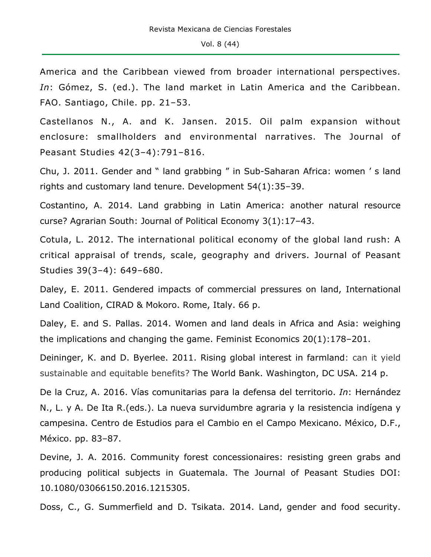America and the Caribbean viewed from broader international perspectives. *In*: Gómez, S. (ed.). The land market in Latin America and the Caribbean. FAO. Santiago, Chile. pp. 21–53.

Castellanos N., A. and K. Jansen. 2015. Oil palm expansion without enclosure: smallholders and environmental narratives. The Journal of Peasant Studies 42(3–4):791–816.

Chu, J. 2011. Gender and " land grabbing " in Sub-Saharan Africa: women ' s land rights and customary land tenure. Development 54(1):35–39.

Costantino, A. 2014. Land grabbing in Latin America: another natural resource curse? Agrarian South: Journal of Political Economy 3(1):17–43.

Cotula, L. 2012. The international political economy of the global land rush: A critical appraisal of trends, scale, geography and drivers. Journal of Peasant Studies 39(3–4): 649–680.

Daley, E. 2011. Gendered impacts of commercial pressures on land, International Land Coalition, CIRAD & Mokoro. Rome, Italy. 66 p.

Daley, E. and S. Pallas. 2014. Women and land deals in Africa and Asia: weighing the implications and changing the game. Feminist Economics 20(1):178–201.

Deininger, K. and D. Byerlee. 2011. Rising global interest in farmland: can it yield sustainable and equitable benefits? The World Bank. Washington, DC USA. 214 p.

De la Cruz, A. 2016. Vías comunitarias para la defensa del territorio. *In*: Hernández N., L. y A. De Ita R.(eds.). La nueva survidumbre agraria y la resistencia indígena y campesina. Centro de Estudios para el Cambio en el Campo Mexicano. México, D.F., México. pp. 83–87.

Devine, J. A. 2016. Community forest concessionaires: resisting green grabs and producing political subjects in Guatemala. The Journal of Peasant Studies DOI: 10.1080/03066150.2016.1215305.

Doss, C., G. Summerfield and D. Tsikata. 2014. Land, gender and food security.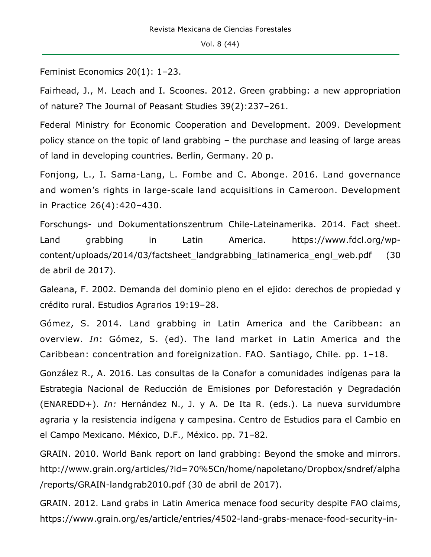Feminist Economics 20(1): 1–23.

Fairhead, J., M. Leach and I. Scoones. 2012. Green grabbing: a new appropriation of nature? The Journal of Peasant Studies 39(2):237–261.

Federal Ministry for Economic Cooperation and Development. 2009. Development policy stance on the topic of land grabbing – the purchase and leasing of large areas of land in developing countries. Berlin, Germany. 20 p.

Fonjong, L., I. Sama-Lang, L. Fombe and C. Abonge. 2016. Land governance and women's rights in large-scale land acquisitions in Cameroon. Development in Practice 26(4):420–430.

Forschungs- und Dokumentationszentrum Chile-Lateinamerika. 2014. Fact sheet. Land grabbing in Latin America. https://www.fdcl.org/wpcontent/uploads/2014/03/factsheet\_landgrabbing\_latinamerica\_engl\_web.pdf (30 de abril de 2017).

Galeana, F. 2002. Demanda del dominio pleno en el ejido: derechos de propiedad y crédito rural. Estudios Agrarios 19:19–28.

Gómez, S. 2014. Land grabbing in Latin America and the Caribbean: an overview. *In*: Gómez, S. (ed). The land market in Latin America and the Caribbean: concentration and foreignization. FAO. Santiago, Chile. pp. 1–18.

González R., A. 2016. Las consultas de la Conafor a comunidades indígenas para la Estrategia Nacional de Reducción de Emisiones por Deforestación y Degradación (ENAREDD+). *In:* Hernández N., J. y A. De Ita R. (eds.). La nueva survidumbre agraria y la resistencia indígena y campesina. Centro de Estudios para el Cambio en el Campo Mexicano. México, D.F., México. pp. 71–82.

GRAIN. 2010. World Bank report on land grabbing: Beyond the smoke and mirrors. http://www.grain.org/articles/?id=70%5Cn/home/napoletano/Dropbox/sndref/alpha /reports/GRAIN-landgrab2010.pdf (30 de abril de 2017).

GRAIN. 2012. Land grabs in Latin America menace food security despite FAO claims, https://www.grain.org/es/article/entries/4502-land-grabs-menace-food-security-in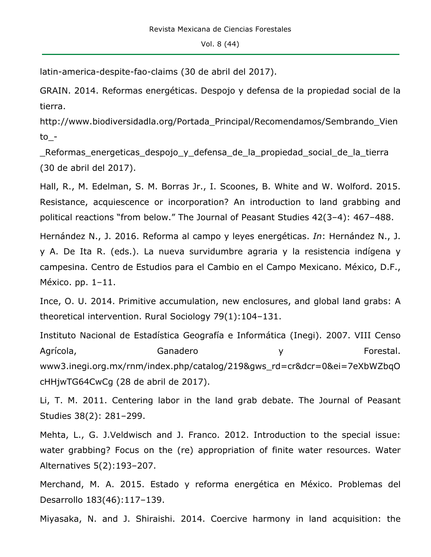latin-america-despite-fao-claims (30 de abril del 2017).

GRAIN. 2014. Reformas energéticas. Despojo y defensa de la propiedad social de la tierra.

http://www.biodiversidadla.org/Portada\_Principal/Recomendamos/Sembrando\_Vien to\_-

Reformas energeticas despojo y defensa de la propiedad social de la tierra (30 de abril del 2017).

Hall, R., M. Edelman, S. M. Borras Jr., I. Scoones, B. White and W. Wolford. 2015. Resistance, acquiescence or incorporation? An introduction to land grabbing and political reactions "from below." The Journal of Peasant Studies 42(3–4): 467–488.

Hernández N., J. 2016. Reforma al campo y leyes energéticas. *In*: Hernández N., J. y A. De Ita R. (eds.). La nueva survidumbre agraria y la resistencia indígena y campesina. Centro de Estudios para el Cambio en el Campo Mexicano. México, D.F., México. pp. 1–11.

Ince, O. U. 2014. Primitive accumulation, new enclosures, and global land grabs: A theoretical intervention. Rural Sociology 79(1):104–131.

Instituto Nacional de Estadística Geografía e Informática (Inegi). 2007. VIII Censo Agrícola, Ganadero y Forestal. www3.inegi.org.mx/rnm/index.php/catalog/219&gws\_rd=cr&dcr=0&ei=7eXbWZbqO cHHjwTG64CwCg (28 de abril de 2017).

Li, T. M. 2011. Centering labor in the land grab debate. The Journal of Peasant Studies 38(2): 281–299.

Mehta, L., G. J.Veldwisch and J. Franco. 2012. Introduction to the special issue: water grabbing? Focus on the (re) appropriation of finite water resources. Water Alternatives 5(2):193–207.

Merchand, M. A. 2015. Estado y reforma energética en México. Problemas del Desarrollo 183(46):117–139.

Miyasaka, N. and J. Shiraishi. 2014. Coercive harmony in land acquisition: the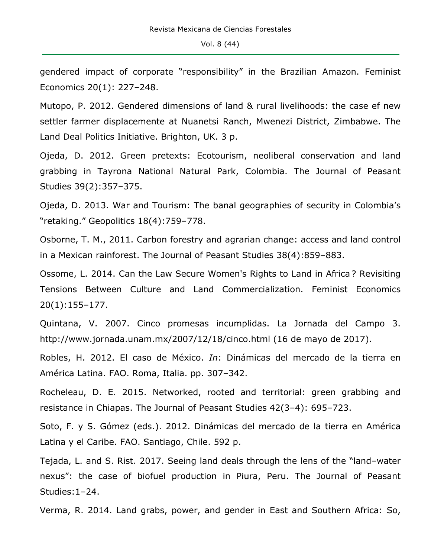gendered impact of corporate "responsibility" in the Brazilian Amazon. Feminist Economics 20(1): 227–248.

Mutopo, P. 2012. Gendered dimensions of land & rural livelihoods: the case ef new settler farmer displacemente at Nuanetsi Ranch, Mwenezi District, Zimbabwe. The Land Deal Politics Initiative. Brighton, UK. 3 p.

Ojeda, D. 2012. Green pretexts: Ecotourism, neoliberal conservation and land grabbing in Tayrona National Natural Park, Colombia. The Journal of Peasant Studies 39(2):357–375.

Ojeda, D. 2013. War and Tourism: The banal geographies of security in Colombia's "retaking." Geopolitics 18(4):759–778.

Osborne, T. M., 2011. Carbon forestry and agrarian change: access and land control in a Mexican rainforest. The Journal of Peasant Studies 38(4):859–883.

Ossome, L. 2014. Can the Law Secure Women's Rights to Land in Africa ? Revisiting Tensions Between Culture and Land Commercialization. Feminist Economics 20(1):155–177.

Quintana, V. 2007. Cinco promesas incumplidas. La Jornada del Campo 3. http://www.jornada.unam.mx/2007/12/18/cinco.html (16 de mayo de 2017).

Robles, H. 2012. El caso de México. *In*: Dinámicas del mercado de la tierra en América Latina. FAO. Roma, Italia. pp. 307–342.

Rocheleau, D. E. 2015. Networked, rooted and territorial: green grabbing and resistance in Chiapas. The Journal of Peasant Studies 42(3–4): 695–723.

Soto, F. y S. Gómez (eds.). 2012. Dinámicas del mercado de la tierra en América Latina y el Caribe. FAO. Santiago, Chile. 592 p.

Tejada, L. and S. Rist. 2017. Seeing land deals through the lens of the "land–water nexus": the case of biofuel production in Piura, Peru. The Journal of Peasant Studies:1–24.

Verma, R. 2014. Land grabs, power, and gender in East and Southern Africa: So,